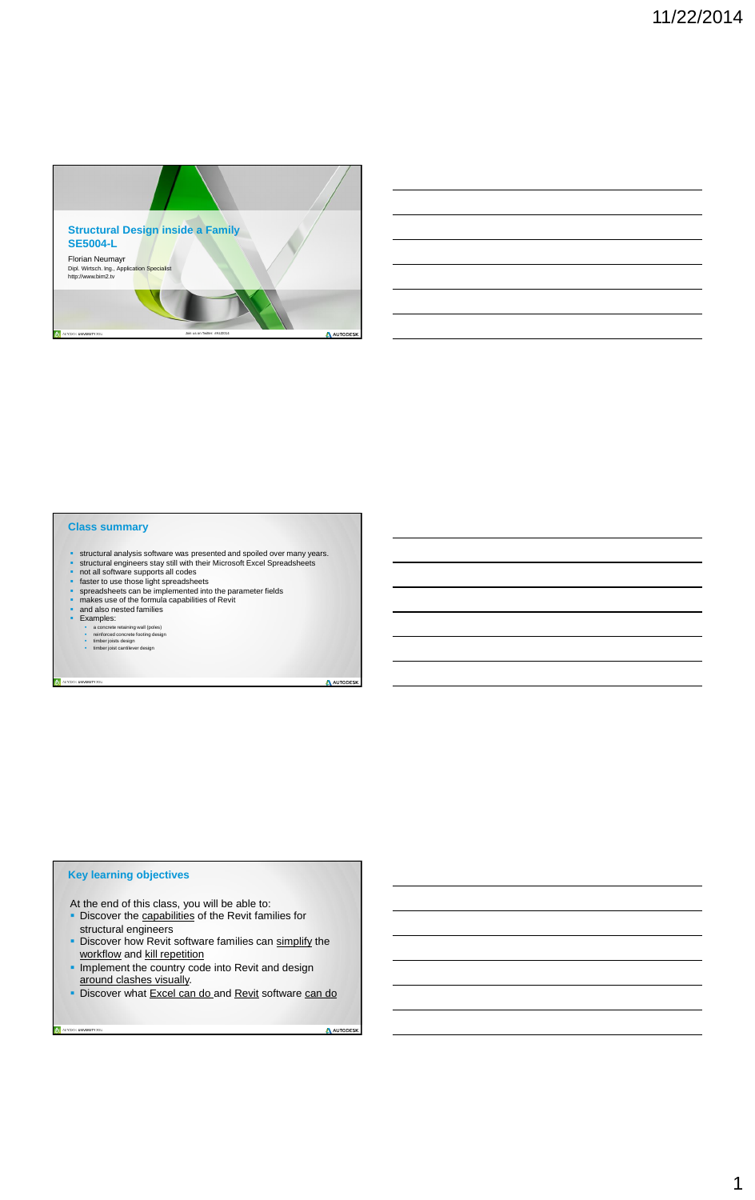1



- **structural analysis software was presented and spoiled over many years.**<br> **•** structural engineers stay still with their Microsoft Excel Spreadsheets
- structural engineers stay still with their Microsoft Excel Spreadsheets
- not all software supports all codes
- **faster to use those light spreadsheets**
- **s** spreadsheets can be implemented into the parameter fields<br>**name** makes use of the formula capabilities of Revit
- makes use of the formula capabilities of Revit
- and also nested families
- **Examples:**
- 
- a concrete retaining wall (poles) reinforced concrete footing design timber joists design timber joist cantilever design
- 
- 

AUTODESK UNIVERSITY 2014

A AUTODESK

|  | <b>Class summary</b> |  |  |
|--|----------------------|--|--|
|  |                      |  |  |

At the end of this class, you will be able to:

- Discover the capabilities of the Revit families for
- 
- structural engineers
- Discover how Revit software families can simplify the workflow and kill repetition
- **Implement the country code into Revit and design** around clashes visually.
- Discover what Excel can do and Revit software can do

A AUTODESK

## **Key learning objectives**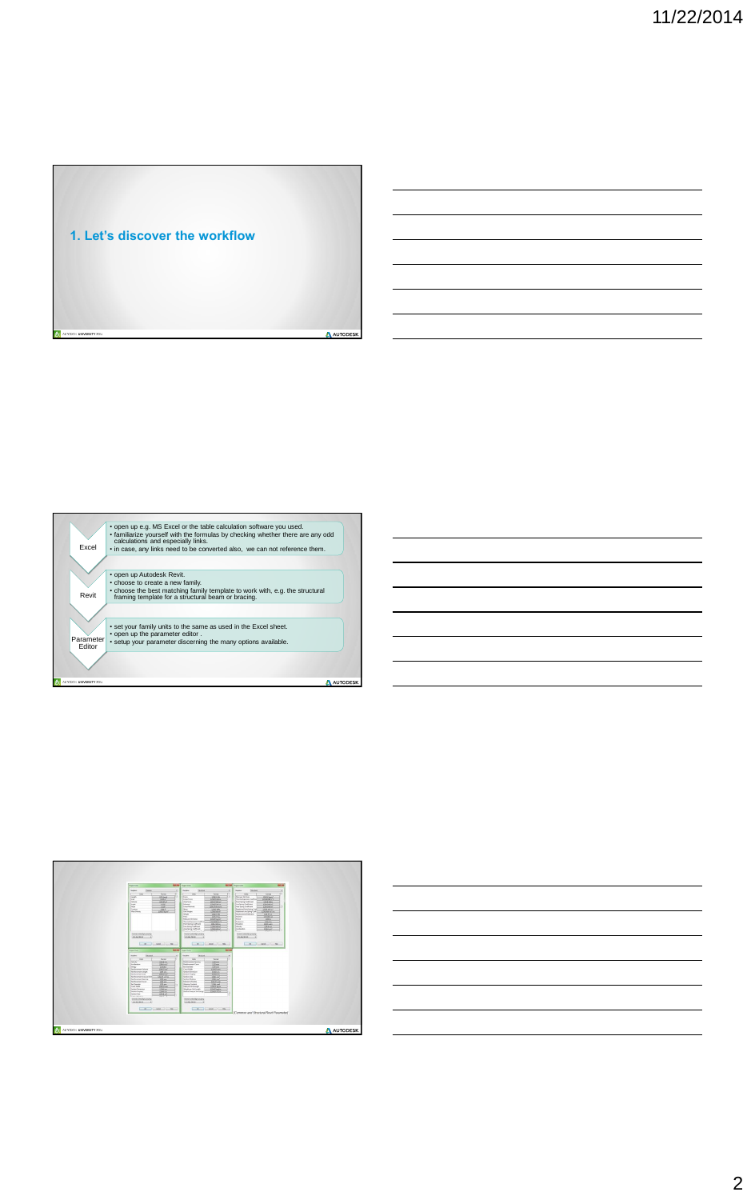





|                          | ٠<br>Decised symmetrical grounding<br>03:456,398.00<br>$-00$                                                                                                                                                                                                                                                                                                                                                                                                                                                                                                                                                                                                                                                                   | Building Months and Call<br>______<br><b>SHIPPIER</b><br>Detroit symbolistic grouping<br>123, 456, 268, 251<br>Canal Donald Help<br>$-00 - 1$                                                                                                                                                                                                                                                                                                                                                                                                                                                                                                                                                                                          | THE PERSON NAMED IN<br><b>Normal</b><br>Detroit symbol/dgd grouping<br>121.40.30.00<br>OC Cont in Links |          |
|--------------------------|--------------------------------------------------------------------------------------------------------------------------------------------------------------------------------------------------------------------------------------------------------------------------------------------------------------------------------------------------------------------------------------------------------------------------------------------------------------------------------------------------------------------------------------------------------------------------------------------------------------------------------------------------------------------------------------------------------------------------------|----------------------------------------------------------------------------------------------------------------------------------------------------------------------------------------------------------------------------------------------------------------------------------------------------------------------------------------------------------------------------------------------------------------------------------------------------------------------------------------------------------------------------------------------------------------------------------------------------------------------------------------------------------------------------------------------------------------------------------------|---------------------------------------------------------------------------------------------------------|----------|
|                          | Present Units<br><b>Skichen</b><br>$\bullet$<br>Display.<br><b>Spreet</b><br><b>Did</b><br>F 4 1<br><b>Hooky</b><br><b>MINA-M/A</b><br>decade at an<br><b>LONA mos</b><br>EDAAM<br>Simong/<br><b>Renforcement Volume</b><br>Rendercement Length<br>17th war.<br>LEM ST cm<br>Reinforcement Jewa<br>LIMAT centre.<br>Plandoccomerchives par Grati<br><b>Dileter</b><br><b>Renderstand Spacing</b><br><b>AZZ</b> em<br><b>Renformment Cover</b><br><b>The Districtor</b><br>$325 - 66$<br>Can Was<br>Lim 17 mm<br><b>LOAN</b> CM<br><b>Techno Elimerator</b><br>Gettian Property<br><b>LISA</b> ce<br><b>ATMA CHI</b><br><b>Sertion Area</b><br><b>Branche</b><br>m<br>Detroit symbolistic grouping<br>122,434,700.00<br>$-86 -$ | <b>Seattle</b><br><b>MALAND</b> Propert Links<br>Student<br>Oklahne<br><b>Viki</b><br><b>Toleut</b><br><b>Little even</b><br><b><i><u>Government Seacong</u></i></b><br><b>Relaterconced Cause</b><br>1255 ews<br><b>Bas Diameter</b><br>Lith eyes<br>Crash Width<br>3254 ST man<br><b>Section Determination</b><br>12044.000<br>Section Property<br><b>AUGUST ANY</b><br><b>Section Area</b><br>1254 d.com<br>Section Modulus<br><b>STEATH</b><br>LOCKTANE<br>Movant of Ingris<br>LOAR and<br><b>Marying Constant</b><br>Mass per Unit Langh<br><b>GIAN Rate</b><br>Weight per line Length<br>LON.ST Aghlen<br>12MN ed rm.<br>Surface Area per Unit Length<br><b>Desired sombolidge grouping</b><br>123-456-706-00<br>OR COME I MELLE | Common and Structural Revit Parameter!                                                                  |          |
| AUTODESK UNIVERSITY 2014 |                                                                                                                                                                                                                                                                                                                                                                                                                                                                                                                                                                                                                                                                                                                                |                                                                                                                                                                                                                                                                                                                                                                                                                                                                                                                                                                                                                                                                                                                                        |                                                                                                         | AUTODESK |

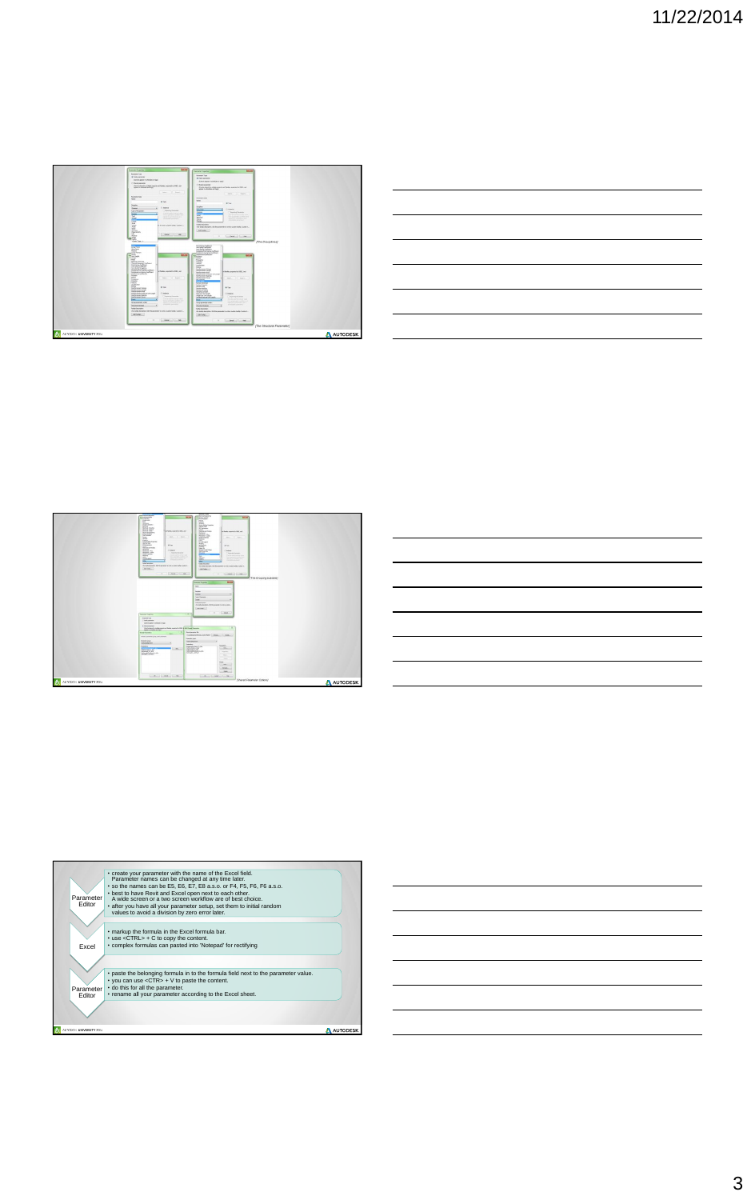11/22/2014



![](_page_2_Figure_2.jpeg)

|                          | <b>Six</b><br><b>Drames</b><br>Christi Dealers<br>$\begin{array}{c} 0.011 \\ 0.014 \\ 0.014 \\ 0.004 \\ \end{array}$<br>and further countries to 2000, and<br><b>During Exposure</b><br>The profession<br>Fox Pure Section<br>Start  11   Davis<br>Farmer<br>Gre 6<br>Contractor<br>Directo Com<br>W Tow<br><b>Carer</b><br><i>Halanak and finalme</i><br><b>TRAWIN</b><br>Citizen<br><b>Holland Rev</b><br><b>Rehable Loan</b><br>Cheesing Farance<br><b>Tole Property</b><br>Construction and the construction<br>$\frac{1}{\sqrt{2}}\left( \frac{1}{\sqrt{2}}\right) \left( \frac{1}{\sqrt{2}}\right) \left( \frac{1}{\sqrt{2}}\right) \left( \frac{1}{\sqrt{2}}\right) \left( \frac{1}{\sqrt{2}}\right) \left( \frac{1}{\sqrt{2}}\right) \left( \frac{1}{\sqrt{2}}\right) \left( \frac{1}{\sqrt{2}}\right) \left( \frac{1}{\sqrt{2}}\right) \left( \frac{1}{\sqrt{2}}\right) \left( \frac{1}{\sqrt{2}}\right) \left( \frac{1}{\sqrt{2}}\right) \left( \frac{1}{\sqrt{2}}\right) \left$<br><b>COL</b><br><b>SEXAMS</b><br><b>STATISTICS</b><br>Toris Orangero<br>cha holtz description. Edit the personate to some custom during classical.<br>$-4417$ extra-<br><b>Texnelsh Engeless</b><br><b>Texnik Tex</b><br>IT feel permits<br>Canal asses is allegable a last | <b>Crafts</b><br>Denthältig Framme<br><b>DETAIN</b><br>Learn<br>Hotels and finalise<br><b>Marketing</b><br>Hehend Hye<br><b>Mediated: Lead</b><br>pain.<br><b>Hyung</b><br>Ē<br>& Tues<br><b>Department Follows</b><br>Cleaner<br><b>Inches</b><br><b>Harton</b><br><b>JAN</b><br>$\sim$<br>Sale because<br>the bully decrease. Set the personal to with a subset both Cultur 1.<br>. Additional<br>۰<br><b>Faterment Properties</b><br>lane:<br>Distant<br>(terms)<br><b>Tube of American</b><br>(est.)<br><b>Sale Emorginal</b><br>His bolls decision, bill the pewers to one a custor.<br><b>Add Forder</b><br>$\sim$<br>Li Seco<br>$\overline{R}$ | and herders important (COS), and<br>III rom<br>Deesteren<br><b>EXECUTIVE</b><br><b>COMMANDATION</b><br>1.1200 U.S. 100 U.S.<br>(The Grouping available)<br><b>MALLEN</b><br>۰<br>٠ |          |
|--------------------------|-------------------------------------------------------------------------------------------------------------------------------------------------------------------------------------------------------------------------------------------------------------------------------------------------------------------------------------------------------------------------------------------------------------------------------------------------------------------------------------------------------------------------------------------------------------------------------------------------------------------------------------------------------------------------------------------------------------------------------------------------------------------------------------------------------------------------------------------------------------------------------------------------------------------------------------------------------------------------------------------------------------------------------------------------------------------------------------------------------------------------------------------------------------------------------------------------------------------------------------------------------------------------|-------------------------------------------------------------------------------------------------------------------------------------------------------------------------------------------------------------------------------------------------------------------------------------------------------------------------------------------------------------------------------------------------------------------------------------------------------------------------------------------------------------------------------------------------------------------------------------------------------------------------------------------------------|------------------------------------------------------------------------------------------------------------------------------------------------------------------------------------|----------|
| AUTODESK UNIVERSITY 2014 | It think permane<br>Carlie sharehic makes possess and heater, masched to COAC, a than blooms Parameters<br>ages insteads and lapt<br><b>Tiend Texnolony</b><br>Chest a passwer grap, and a passwer.<br><b>Isrando pius</b><br><b>Andy to a Opremal</b><br>EX.<br>$-0.61$                                                                                                                                                                                                                                                                                                                                                                                                                                                                                                                                                                                                                                                                                                                                                                                                                                                                                                                                                                                                | <b>Bandaroone fu</b><br><b>Family pse</b><br><b>Instylutioned</b><br>$\lambda$<br><b><i><u><i><u><b>Trespondence</b></u></i></u></i></b><br>terenviere<br>Toponicorre 2014<br><b>ALC</b><br><b>Service</b><br>Salvager, J. (Infant)<br>$\overline{a}$<br><b>SHOP</b><br><b>Street</b><br>111794-111<br>deare<br>.com                                                                                                                                                                                                                                                                                                                                  | (Shared Parameter Options)                                                                                                                                                         | AUTODESK |

![](_page_2_Figure_4.jpeg)

• create your parameter with the name of the Excel field.<br>Parameter names can be changed at any time later.<br>• so the names can be E5, E6, E7, E8 a.s.o. or F4, F5, F6, F6 a.s.o.<br>• best to have Revit and Excel open next to e

Parameter Editor

![](_page_2_Picture_6.jpeg)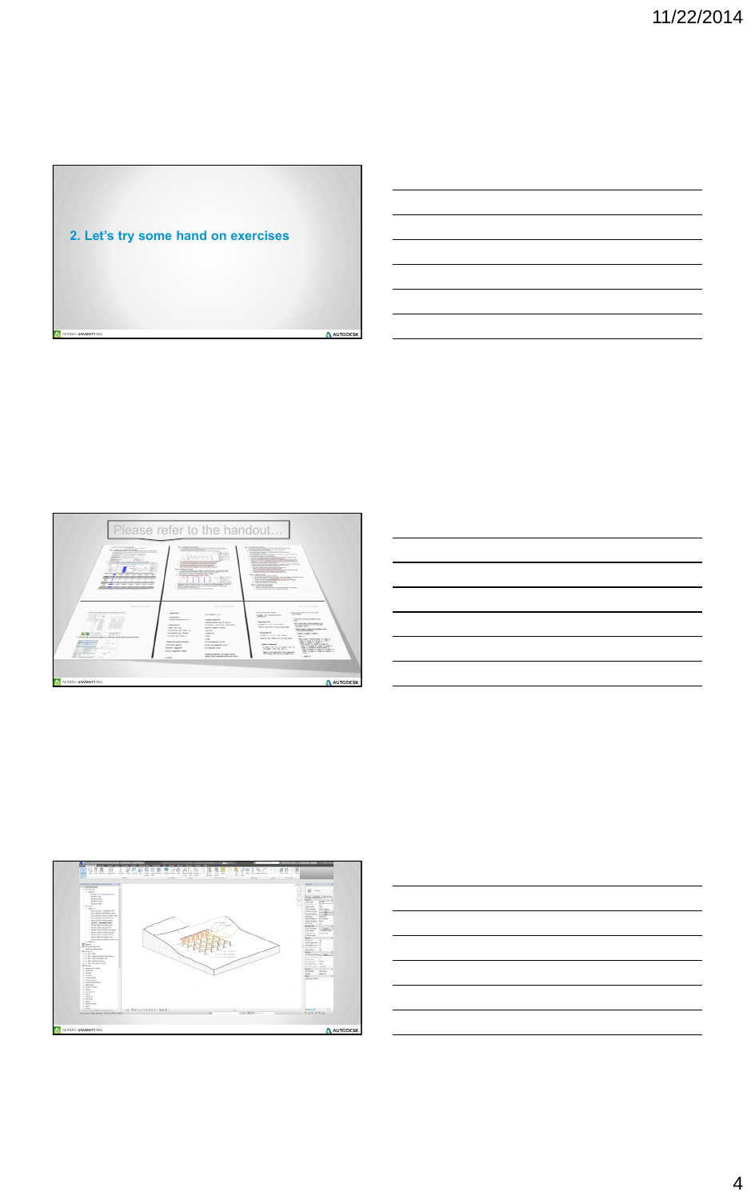4

![](_page_3_Figure_1.jpeg)

![](_page_3_Figure_2.jpeg)

![](_page_3_Figure_3.jpeg)

![](_page_3_Picture_4.jpeg)

![](_page_3_Figure_5.jpeg)

![](_page_3_Figure_6.jpeg)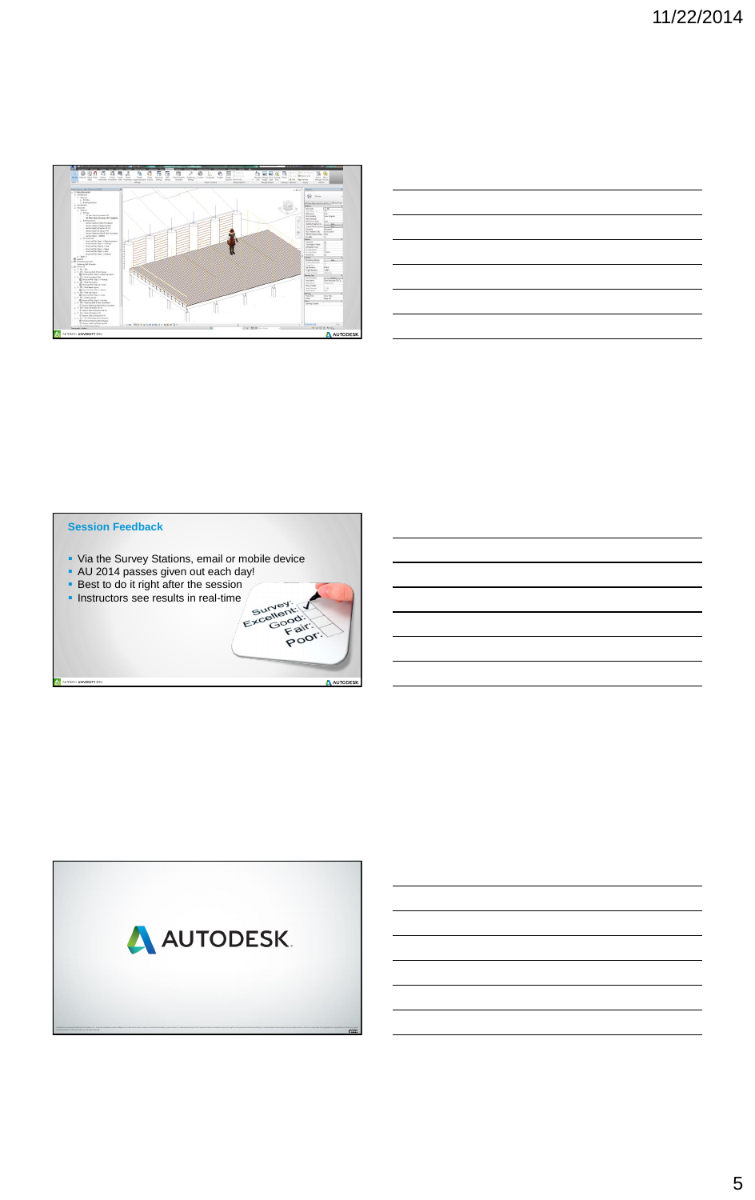![](_page_4_Figure_1.jpeg)

| and the control of the control of the control of the control of the control of the control of the control of the     |                                                                                                                                                                       |  |  |  |
|----------------------------------------------------------------------------------------------------------------------|-----------------------------------------------------------------------------------------------------------------------------------------------------------------------|--|--|--|
| <u> 1989 - Andrea Santa Andrea Santa Andrea Santa Andrea Santa Andrea Santa Andrea Santa Andrea Santa Andrea San</u> |                                                                                                                                                                       |  |  |  |
| and the contract of the contract of the contract of the contract of the contract of the contract of the contract of  |                                                                                                                                                                       |  |  |  |
|                                                                                                                      | ○ 1999年1月19日,1999年1月1日,1999年1月1日,1999年1月1日,1999年1月1日,1999年1月1日,1999年1月1日,1999年1月1<br>1990年1月10日,1999年1月1日,1999年1月1日,1999年1月1日,1999年1月1日,1999年1月1日,1999年1月1日,1999年1月1日 |  |  |  |
|                                                                                                                      | the contract of the contract of the contract of the contract of the contract of                                                                                       |  |  |  |
|                                                                                                                      |                                                                                                                                                                       |  |  |  |

- Via the Survey Stations, email or mobile device
- AU 2014 passes given out each day!
- **Best to do it right after the session**
- 

## **Session Feedback**

AUTODESK UNIVERSITY 2014

![](_page_4_Picture_8.jpeg)

![](_page_4_Picture_9.jpeg)